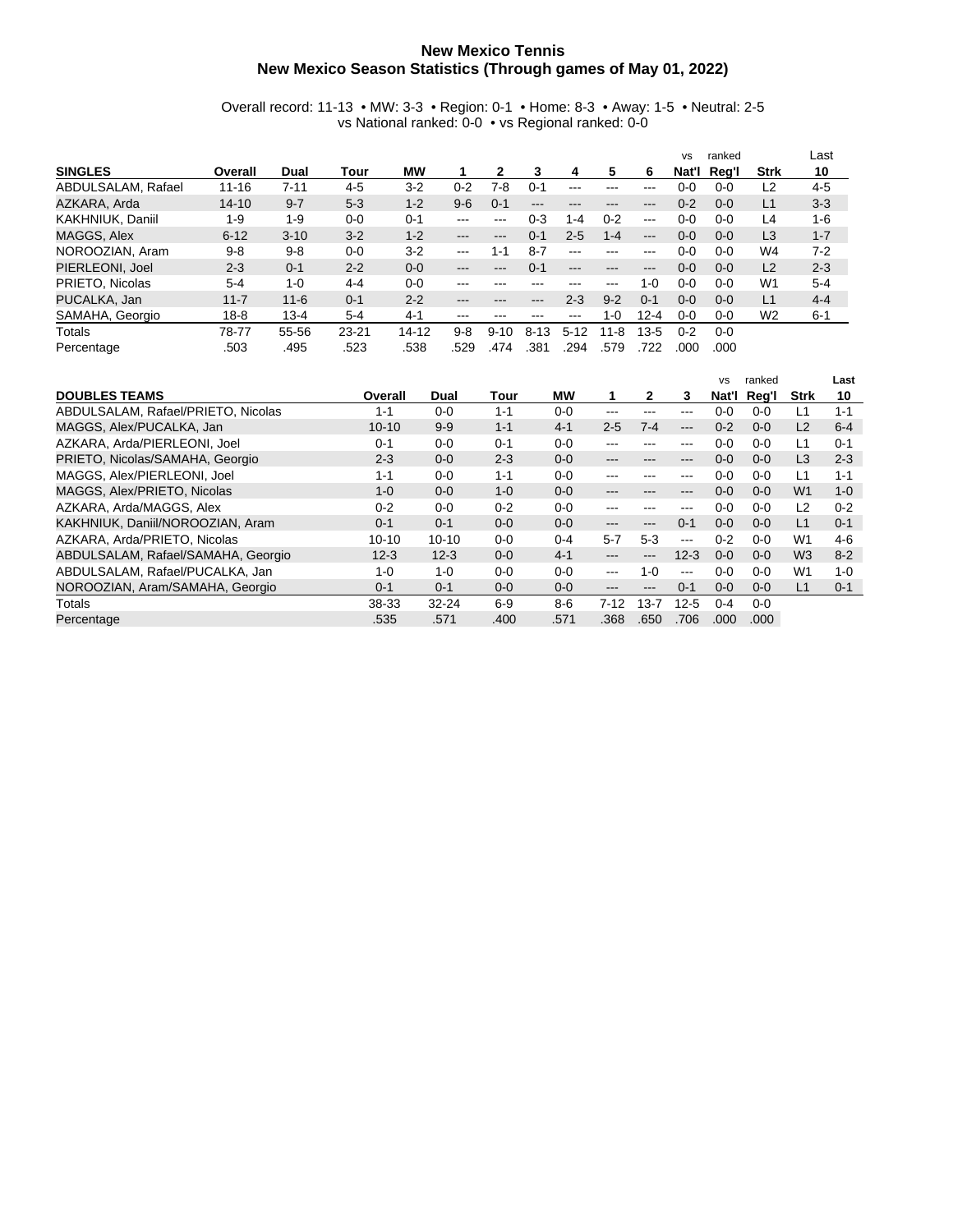## **New Mexico Tennis New Mexico Season Statistics (Through games of May 01, 2022)**

## Overall record: 11-13 • MW: 3-3 • Region: 0-1 • Home: 8-3 • Away: 1-5 • Neutral: 2-5 vs National ranked: 0-0 • vs Regional ranked: 0-0

|                    |           |          |           |           |         |          |          |         |          |               | <b>VS</b> | ranked  |                | Last    |
|--------------------|-----------|----------|-----------|-----------|---------|----------|----------|---------|----------|---------------|-----------|---------|----------------|---------|
| <b>SINGLES</b>     | Overall   | Dual     | Tour      | <b>MW</b> |         | 2        | 3        | 4       | 5        | 6             | Nat'l     | Rea'l   | <b>Strk</b>    | 10      |
| ABDULSALAM, Rafael | $11 - 16$ | $7 - 11$ | $4 - 5$   | $3 - 2$   | $0 - 2$ | 7-8      | $0 - 1$  | ---     | ---      | ---           | $0 - 0$   | $0 - 0$ | L <sub>2</sub> | $4 - 5$ |
| AZKARA, Arda       | $14 - 10$ | $9 - 7$  | $5 - 3$   | $1 - 2$   | $9-6$   | $0 - 1$  | ---      | ---     | ---      | ---           | $0 - 2$   | $0 - 0$ | L1             | $3 - 3$ |
| KAKHNIUK, Daniil   | $1 - 9$   | $1 - 9$  | $0-0$     | $0 - 1$   | ---     | ---      | 0-3      | 1-4     | $0 - 2$  | $\frac{1}{2}$ | $0 - 0$   | $0 - 0$ | L4             | 1-6     |
| MAGGS, Alex        | $6 - 12$  | $3 - 10$ | $3 - 2$   | $1 - 2$   | $---$   | $---$    | $0 - 1$  | $2 - 5$ | $1 - 4$  | $---$         | $0 - 0$   | $0 - 0$ | L <sub>3</sub> | $1 - 7$ |
| NOROOZIAN, Aram    | $9 - 8$   | $9 - 8$  | $0 - 0$   | $3 - 2$   | $--$    | $1 - 1$  | $8 - 7$  | $- - -$ | ---      | ---           | $0-0$     | $0 - 0$ | W <sub>4</sub> | $7 - 2$ |
| PIERLEONI, Joel    | $2 - 3$   | $0 - 1$  | $2 - 2$   | $0 - 0$   | ---     | ---      | $0 - 1$  | ---     | ---      | ---           | $0 - 0$   | $0 - 0$ | L2             | $2 - 3$ |
| PRIETO, Nicolas    | $5 - 4$   | $1 - 0$  | $4 - 4$   | $0 - 0$   | ---     | ---      | ---      | ---     | ---      | $1 - 0$       | $0 - 0$   | $0 - 0$ | W1             | $5 - 4$ |
| PUCALKA, Jan       | $11 - 7$  | $11 - 6$ | $0 - 1$   | $2 - 2$   | ---     | ---      | ---      | $2 - 3$ | $9 - 2$  | $0 - 1$       | $0 - 0$   | $0 - 0$ | L1             | $4 - 4$ |
| SAMAHA, Georgio    | $18 - 8$  | $13 - 4$ | $5-4$     | $4 - 1$   | $--$    | ---      | ---      | ---     | $1 - 0$  | $12 - 4$      | 0-0       | 0-0     | W <sub>2</sub> | $6 - 1$ |
| Totals             | 78-77     | 55-56    | $23 - 21$ | $14 - 12$ | $9 - 8$ | $9 - 10$ | $8 - 13$ | $5-12$  | $11 - 8$ | $13-5$        | $0 - 2$   | $0 - 0$ |                |         |
| Percentage         | .503      | .495     | .523      | .538      | .529    | .474     | .381     | 294     | .579     | .722          | .000      | .000    |                |         |

|                                    |           |           |         |         |          |                        |                   | <b>VS</b> | ranked  |                | Last    |
|------------------------------------|-----------|-----------|---------|---------|----------|------------------------|-------------------|-----------|---------|----------------|---------|
| <b>DOUBLES TEAMS</b>               | Overall   | Dual      | Tour    | МW      |          | 2                      | 3                 | Nat'l     | Reg'l   | Strk           | 10      |
| ABDULSALAM, Rafael/PRIETO, Nicolas | $1 - 1$   | $0 - 0$   | $1 - 1$ | $0 - 0$ | ---      |                        | ---               | $0 - 0$   | $0 - 0$ | L1             | $1 - 1$ |
| MAGGS, Alex/PUCALKA, Jan           | $10 - 10$ | $9 - 9$   | $1 - 1$ | $4 - 1$ | $2 - 5$  | $7 - 4$                | $\qquad \qquad -$ | $0 - 2$   | $0 - 0$ | L2             | $6-4$   |
| AZKARA, Arda/PIERLEONI, Joel       | $0 - 1$   | $0 - 0$   | $0 - 1$ | $0 - 0$ | ---      |                        | $---$             | $0 - 0$   | $0 - 0$ | L1             | $0 - 1$ |
| PRIETO, Nicolas/SAMAHA, Georgio    | $2 - 3$   | $0 - 0$   | $2 - 3$ | $0 - 0$ | ---      | ---                    | $\qquad \qquad -$ | $0 - 0$   | $0 - 0$ | L <sub>3</sub> | $2 - 3$ |
| MAGGS, Alex/PIERLEONI, Joel        | $1 - 1$   | $0 - 0$   | $1 - 1$ | $0 - 0$ | ---      |                        | ---               | $0 - 0$   | $0 - 0$ | L1             | $1 - 1$ |
| MAGGS, Alex/PRIETO, Nicolas        | $1 - 0$   | $0 - 0$   | $1 - 0$ | $0 - 0$ | ---      |                        | ---               | $0 - 0$   | $0 - 0$ | W <sub>1</sub> | $1 - 0$ |
| AZKARA, Arda/MAGGS, Alex           | $0 - 2$   | $0 - 0$   | $0 - 2$ | $0 - 0$ | ---      |                        | $\qquad \qquad -$ | $0 - 0$   | $0 - 0$ | L2             | $0 - 2$ |
| KAKHNIUK, Daniil/NOROOZIAN, Aram   | $0 - 1$   | $0 - 1$   | $0 - 0$ | $0 - 0$ | ---      | $\qquad \qquad \cdots$ | $0 - 1$           | $0 - 0$   | $0 - 0$ | L1             | $0 - 1$ |
| AZKARA, Arda/PRIETO, Nicolas       | $10 - 10$ | $10 - 10$ | $0 - 0$ | $0 - 4$ | $5 - 7$  | $5-3$                  | $- - -$           | $0 - 2$   | $0 - 0$ | W <sub>1</sub> | $4-6$   |
| ABDULSALAM, Rafael/SAMAHA, Georgio | $12 - 3$  | $12-3$    | $0 - 0$ | $4 - 1$ | ---      |                        | $12 - 3$          | $0 - 0$   | $0 - 0$ | W <sub>3</sub> | $8 - 2$ |
| ABDULSALAM, Rafael/PUCALKA, Jan    | $1 - 0$   | $1 - 0$   | $0 - 0$ | $0 - 0$ | $---$    | 1- $\Omega$            | $-$ – $-$         | $0 - 0$   | $0 - 0$ | W1             | $1 - 0$ |
| NOROOZIAN, Aram/SAMAHA, Georgio    | $0 - 1$   | $0 - 1$   | $0 - 0$ | $0-0$   | ---      | $\qquad \qquad \cdots$ | $0 - 1$           | $0 - 0$   | $0 - 0$ | L1             | $0 - 1$ |
| Totals                             | 38-33     | $32 - 24$ | $6-9$   | $8 - 6$ | $7 - 12$ | $13 - 7$               | $12 - 5$          | $0 - 4$   | $0 - 0$ |                |         |
| Percentage                         | .535      | .571      | .400    | .571    | .368     | .650                   | .706              | .000      | .000    |                |         |